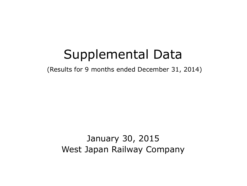# Supplemental Data

(Results for 9 months ended December 31, 2014)

January 30, 2015 West Japan Railway Company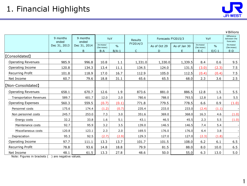

¥Billions

1

|                                | 9 months<br>ended | 9 months<br>ended | YoY                     |               | Results   | Forecasts FY2015/3 |              | YoY                     |               | Difference<br>between the<br>forecasts |
|--------------------------------|-------------------|-------------------|-------------------------|---------------|-----------|--------------------|--------------|-------------------------|---------------|----------------------------------------|
|                                | Dec 31, 2013      | Dec 31, 2014      | Increase/<br>(Decrease) | $\frac{0}{0}$ | FY2014/3  | As of Oct 29       | As of Jan 30 | Increase/<br>(Decrease) | $\frac{0}{0}$ | Increase/<br>(Decrease)                |
|                                | A                 | <sub>R</sub>      | $B-A$                   | $B/A-1$       | $\subset$ | D                  | F.           | $E-C$                   | $E/C-1$       | $E-D$                                  |
| [Consolidated]                 |                   |                   |                         |               |           |                    |              |                         |               |                                        |
| <b>Operating Revenues</b>      | 985.9             | 996.8             | 10.8                    | 1.1           | 1,331.0   | 1,330.0            | 1,339.5      | 8.4                     | 0.6           | 9.5                                    |
| Operating Income               | 120.8             | 134.3             | 13.4                    | 11.1          | 134.5     | 124.0              | 131.5        | (3.0)                   | (2.3)         | 7.5                                    |
| Recurring Profit               | 101.8             | 118.9             | 17.0                    | 16.7          | 112.9     | 105.0              | 112.5        | (0.4)                   | (0.4)         | 7.5                                    |
| Net Income                     | 60.7              | 79.6              | 18.8                    | 31.1          | 65.6      | 65.5               | 68.0         | 2.3                     | 3.6           | 2.5                                    |
| [Non-Consolidated]             |                   |                   |                         |               |           |                    |              |                         |               |                                        |
| <b>Operating Revenues</b>      | 658.1             | 670.7             | 12.6                    | 1.9           | 873.6     | 881.0              | 886.5        | 12.8                    | 1.5           | 5.5                                    |
| <b>Transportation Revenues</b> | 589.7             | 601.7             | 12.0                    | 2.0           | 780.6     | 788.0              | 793.5        | 12.8                    | 1.6           | 5.5                                    |
| <b>Operating Expenses</b>      | 560.3             | 559.5             | (0.7)                   | (0.1)         | 771.8     | 779.5              | 778.5        | 6.6                     | 0.9           | (1.0)                                  |
| Personnel costs                | 175.6             | 174.4             | (1.2)                   | (0.7)         | 235.4     | 233.0              | 233.0        | (2.4)                   | (1.1)         |                                        |
| Non personnel costs            | 245.7             | 253.0             | 7.3                     | 3.0           | 351.6     | 369.0              | 368.0        | 16.3                    | 4.6           | (1.0)                                  |
| Energy costs                   | 32.2              | 33.8              | 1.6                     | 5.1           | 43.1      | 46.5               | 45.5         | 2.3                     | 5.5           | (1.0)                                  |
| Maintenance costs              | 92.7              | 95.9              | 3.2                     | 3.5           | 139.0     | 146.5              | 146.5        | 7.4                     | 5.4           |                                        |
| Miscellaneous costs            | 120.8             | 123.1             | 2.3                     | 2.0           | 169.5     | 176.0              | 176.0        | 6.4                     | 3.8           |                                        |
| Depreciation                   | 95.3              | 92.5              | (2.7)                   | (2.9)         | 129.3     | 127.0              | 127.0        | (2.3)                   | (1.8)         |                                        |
| Operating Income               | 97.7              | 111.1             | 13.3                    | 13.7          | 101.7     | 101.5              | 108.0        | 6.2                     | 6.1           | 6.5                                    |
| Recurring Profit               | 78.8              | 93.6              | 14.8                    | 18.8          | 79.9      | 81.5               | 88.0         | 8.0                     | 10.0          | 6.5                                    |
| Net Income                     | 48.1              | 61.5              | 13.3                    | 27.8          | 48.6      | 50.0               | 55.0         | 6.3                     | 13.0          | 5.0                                    |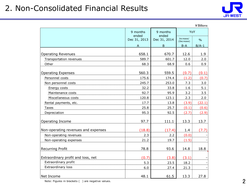## 2. Non-Consolidated Financial Results



|                                     |                   |                   |                         | ¥ Billions    |
|-------------------------------------|-------------------|-------------------|-------------------------|---------------|
|                                     | 9 months<br>ended | 9 months<br>ended | YoY                     |               |
|                                     | Dec 31, 2013      | Dec 31, 2014      | Increase/<br>(Decrease) | $\frac{0}{0}$ |
|                                     | A                 | B                 | $B - A$                 | $B/A-1$       |
| <b>Operating Revenues</b>           | 658.1             | 670.7             | 12.6                    | 1.9           |
| Transportation revenues             | 589.7             | 601.7             | 12.0                    | 2.0           |
| Other                               | 68.3              | 68.9              | 0.6                     | 0.9           |
| <b>Operating Expenses</b>           | 560.3             | 559.5             | (0.7)                   | (0.1)         |
| Personnel costs                     | 175.6             | 174.4             | (1.2)                   | (0.7)         |
| Non personnel costs                 | 245.7             | 253.0             | 7.3                     | 3.0           |
| Energy costs                        | 32.2              | 33.8              | 1.6                     | 5.1           |
| Maintenance costs                   | 92.7              | 95.9              | 3.2                     | 3.5           |
| Miscellaneous costs                 | 120.8             | 123.1             | 2.3                     | 2.0           |
| Rental payments, etc.               | 17.7              | 13.8              | (3.9)                   | (22.1)        |
| Taxes                               | 25.8              | 25.7              | (0.1)                   | (0.6)         |
| Depreciation                        | 95.3              | 92.5              | (2.7)                   | (2.9)         |
| Operating Income                    | 97.7              | 111.1             | 13.3                    | 13.7          |
| Non-operating revenues and expenses | (18.8)            | (17.4)            | 1.4                     | (7.7)         |
| Non-operating revenues              | 2.3               | 2.2               | (0.0)                   |               |
| Non-operating expenses              | 21.2              | 19.7              | (1.5)                   |               |
| Recurring Profit                    | 78.8              | 93.6              | 14.8                    | 18.8          |
| Extraordinary profit and loss, net  | (0.7)             | (3.8)             | (3.1)                   |               |
| Extraordinary profit                | 5.3               | 23.5              | 18.2                    |               |
| Extraordinary loss                  | 6.0               | 27.4              | 21.3                    |               |
| Net Income                          | 48.1              | 61.5              | 13.3                    | 27.8          |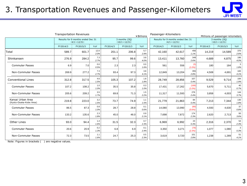

|                                              | <b>Transportation Revenues</b><br>¥Billions |                                                         |              |          |                                      |             | Passenger-Kilometers |                                                         |                    | Millions of passenger-kilometers |                                      |             |  |  |
|----------------------------------------------|---------------------------------------------|---------------------------------------------------------|--------------|----------|--------------------------------------|-------------|----------------------|---------------------------------------------------------|--------------------|----------------------------------|--------------------------------------|-------------|--|--|
|                                              |                                             | Results for 9 months ended Dec 31<br>$(4/1 \sim 12/31)$ |              |          | 3 months (3Q)<br>$(10/1 \sim 12/31)$ |             |                      | Results for 9 months ended Dec 31<br>$(4/1 \sim 12/31)$ |                    |                                  | 3 months (3Q)<br>$(10/1 \sim 12/31)$ |             |  |  |
|                                              | FY2014/3                                    | FY2015/3                                                | YoY          | FY2014/3 | FY2015/3                             | YoY         | FY2014/3             | FY2015/3                                                | YoY                | FY2014/3                         | FY2015/3                             | YoY         |  |  |
| Total                                        | 589.7                                       | 601.7                                                   | 12.0<br>2.0% | 201.1    | 206.8                                | 5.7<br>2.9% | 42,160               | 42,617                                                  | 456<br>1.1%        | 14,219                           | 14,589                               | 370<br>2.6% |  |  |
| Shinkansen                                   | 276.9                                       | 284.2                                                   | 7.3<br>2.7%  | 95.7     | 99.6                                 | 3.8<br>4.0% | 13,411               | 13,760                                                  | 349<br>2.6%        | 4,689                            | 4,875                                | 186<br>4.0% |  |  |
| <b>Commuter Passes</b>                       | 6.9                                         | 7.0                                                     | 0.0<br>0.5%  | 2.3      | 2.3                                  | 0.0<br>1.6% | 561                  | 556                                                     | (5)<br>$(1.0\%)$   | 180                              | 184                                  | 3<br>1.8%   |  |  |
| Non-Commuter Passes                          | 269.9                                       | 277.2                                                   | 7.3<br>2.7%  | 93.4     | 97.3                                 | 3.8<br>4.1% | 12,849               | 13,204                                                  | 355<br>2.8%        | 4,508                            | 4,691                                | 183<br>4.1% |  |  |
| <b>Conventional Lines</b>                    | 312.8                                       | 317.5                                                   | 4.6<br>1.5%  | 105.3    | 107.2                                | 1.8<br>1.8% | 28,749               | 28,856                                                  | 107<br>0.4%        | 9,529                            | 9,714                                | 184<br>1.9% |  |  |
| <b>Commuter Passes</b>                       | 107.2                                       | 108.2                                                   | 1.0<br>1.0%  | 35.5     | 35.8                                 | 0.3<br>1.0% | 17,431               | 17,262                                                  | (168)<br>$(1.0\%)$ | 5,670                            | 5,711                                | 40<br>0.7%  |  |  |
| Non-Commuter Passes                          | 205.6                                       | 209.2                                                   | 3.5<br>1.7%  | 69.8     | 71.3                                 | 1.5<br>2.2% | 11,317               | 11,593                                                  | 276<br>2.4%        | 3,858                            | 4,003                                | 144<br>3.7% |  |  |
| Kansai Urban Area<br>(Kyoto-Osaka-Kobe Area) | 219.8                                       | 223.0                                                   | 3.2<br>1.5%  | 73.7     | 74.9                                 | 1.1<br>1.5% | 21,779               | 21,863                                                  | 84<br>0.4%         | 7,213                            | 7,344                                | 130<br>1.8% |  |  |
| <b>Commuter Passes</b>                       | 86.5                                        | 87.3                                                    | 0.8<br>1.0%  | 28.7     | 28.8                                 | 0.1<br>0.6% | 14,080               | 13,990                                                  | (89)<br>(0.6%      | 4,593                            | 4,630                                | 37<br>0.8%  |  |  |
| Non-Commuter Passes                          | 133.2                                       | 135.6                                                   | 2.3<br>1.8%  | 45.0     | 46.0                                 | 0.9<br>2.1% | 7,698                | 7,872                                                   | 174<br>2.3%        | 2,620                            | 2,713                                | 93<br>3.6%  |  |  |
| Other Lines                                  | 93.0                                        | 94.4                                                    | 1.4<br>1.6%  | 31.5     | 32.3                                 | 0.7<br>2.3% | 6,969                | 6,992                                                   | 23<br>0.3%         | 2,316                            | 2,370                                | 54<br>2.3%  |  |  |
| <b>Commuter Passes</b>                       | 20.6                                        | 20.9                                                    | 0.2<br>1.3%  | 6.8      | 6.9                                  | 0.1<br>2.4% | 3,350                | 3,271                                                   | (78)<br>(2.3%)     | 1,077                            | 1,080                                | 3<br>0.3%   |  |  |
| Non-Commuter Passes                          | 72.3                                        | 73.5                                                    | 1.1<br>1.6%  | 24.7     | 25.3                                 | 0.5<br>2.3% | 3,619                | 3,720                                                   | 101<br>2.8%        | 1,238                            | 1,289                                | 51<br>4.1%  |  |  |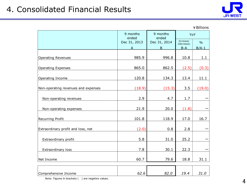## 4. Consolidated Financial Results



|                                     |                   |                   |                         | ¥ Billions    |
|-------------------------------------|-------------------|-------------------|-------------------------|---------------|
|                                     | 9 months<br>ended | 9 months<br>ended | YoY                     |               |
|                                     | Dec 31, 2013      | Dec 31, 2014      | Increase/<br>(Decrease) | $\frac{0}{0}$ |
|                                     | A                 | $\mathsf B$       | $B-A$                   | $B/A-1$       |
| Operating Revenues                  | 985.9             | 996.8             | 10.8                    | 1.1           |
| <b>Operating Expenses</b>           | 865.0             | 862.5             | (2.5)                   | (0.3)         |
| Operating Income                    | 120.8             | 134.3             | 13.4                    | 11.1          |
| Non-operating revenues and expenses | (18.9)            | (15.3)            | 3.5                     | (19.0)        |
| Non-operating revenues              | 2.9               | 4.7               | 1.7                     |               |
| Non-operating expenses              | 21.9              | 20.0              | (1.8)                   |               |
| Recurring Profit                    | 101.8             | 118.9             | 17.0                    | 16.7          |
| Extraordinary profit and loss, net  | (2.0)             | 0.8               | 2.8                     |               |
| Extraordinary profit                | 5.8               | 31.0              | 25.2                    |               |
| Extraordinary loss                  | 7.8               | 30.1              | 22.3                    |               |
| Net Income                          | 60.7              | 79.6              | 18.8                    | 31.1          |
| Comprehensive Income                | 62.6              | 82.0              | 19.4                    | 31.0          |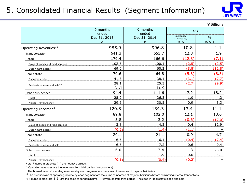#### 5. Consolidated Financial Results (Segment Information)



¥Billions

|                                          | 9 months<br>ended | 9 months<br>ended | YoY                              |                          |
|------------------------------------------|-------------------|-------------------|----------------------------------|--------------------------|
|                                          | Dec 31, 2013<br>A | Dec 31, 2014<br>B | Increase/<br>(Decrease)<br>$B-A$ | $\frac{0}{0}$<br>$B/A-1$ |
| Operating Revenues $^{\ast 1}$           | 985.9             | 996.8             | 10.8                             | 1.1                      |
| Transportation                           | 641.3             | 653.7             | 12.3                             | 1.9                      |
| Retail                                   | 179.4             | 166.6             | (12.8)                           | (7.1)                    |
| Sales of goods and food services         | 102.6             | 100.1             | (2.5)                            | (2.5)                    |
| Department Stores                        | 69.0              | 60.2              | (8.8)                            | (12.8)                   |
| Real estate                              | 70.6              | 64.8              | (5.8)                            | (8.3)                    |
| Shopping center                          | 41.3              | 38.1              | (3.1)                            | (7.7)                    |
| Real estate lease and sale* <sup>3</sup> | 28.1<br>$[7.2]$   | 25.3<br>$[3.7]$   | (2.7)                            | (9.9)                    |
| Other businesses                         | 94.4              | 111.6             | 17.2                             | 18.2                     |
| Hotel                                    | 25.2              | 26.3              | 1.0                              | 4.2                      |
| Nippon Travel Agency                     | 29.6              | 30.5              | 0.9                              | 3.3                      |
| Operating Income* <sup>2</sup>           | 120.8             | 134.3             | 13.4                             | 11.1                     |
| Transportation                           | 89.8              | 102.0             | 12.1                             | 13.6                     |
| Retail                                   | 3.8               | 3.2               | (0.6)                            | (17.0)                   |
| Sales of goods and food services         | 3.8               | 4.3               | 0.4                              | 12.9                     |
| Department Stores                        | (0.2)             | (1.4)             | (1.1)                            |                          |
| Real estate                              | 20.1              | 21.1              | 0.9                              | 4.7                      |
| Shopping center                          | 6.6               | 6.1               | (0.4)                            | (7.4)                    |
| Real estate lease and sale               | 6.6               | 7.2               | 0.6                              | 9.4                      |
| Other businesses                         | 6.0               | 7.4               | 1.3                              | 23.0                     |
| Hotel                                    | 1.9               | 1.9               | 0.0                              | 4.1                      |
| Nippon Travel Agency                     | (0.1)             | (0.4)             | (0.2)                            |                          |

Note: Figures in brackets () are negative values.

 $*$ <sup>1</sup> Operating revenues are the revenues from third parties ( = customers).

The breakdowns of operating revenues by each segment are the sums of revenues of major subsidiaries.

\*<sup>2</sup> The breakdowns of operating income by each segment are the sums of incomes of major subsidiaries before eliminating internal transactions.

\*3 Figures in brackets 【 】 are the sales of condominiums. (Revenues from third parties) (Included in Real estate lease and sale)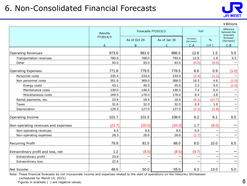### 6. Non-Consolidated Financial Forecasts



|                                     |                |                    |              |                         |               | ¥ Billions                                    |
|-------------------------------------|----------------|--------------------|--------------|-------------------------|---------------|-----------------------------------------------|
|                                     | <b>Results</b> | Forecasts FY2015/3 |              | YoY                     |               | <b>Difference</b><br>between the<br>forecasts |
|                                     | FY2014/3       | As of Oct 29       | As of Jan 30 | Increase/<br>(Decrease) | $\frac{0}{0}$ | Increase/<br>(Decrease)                       |
|                                     | Δ              | B.                 | $\subset$    | $C-A$                   | $C/A-1$       | $C - B$                                       |
| <b>Operating Revenues</b>           | 873.6          | 881.0              | 886.5        | 12.8                    | 1.5           | 5.5                                           |
| Transportation revenues             | 780.6          | 788.0              | 793.5        | 12.8                    | 1.6           | 5.5                                           |
| Other                               | 93.0           | 93.0               | 93.0         | (0.0)                   | (0.0)         |                                               |
| Operating Expenses                  | 771.8          | 779.5              | 778.5        | 6.6                     | 0.9           | (1.0)                                         |
| Personnel costs                     | 235.4          | 233.0              | 233.0        | (2.4)                   | (1.1)         |                                               |
| Non personnel costs                 | 351.6          | 369.0              | 368.0        | 16.3                    | 4.6           | (1.0)                                         |
| Energy costs                        | 43.1           | 46.5               | 45.5         | 2.3                     | 5.5           | (1.0)                                         |
| Maintenance costs                   | 139.0          | 146.5              | 146.5        | 7.4                     | 5.4           |                                               |
| Miscellaneous costs                 | 169.5          | 176.0              | 176.0        | 6.4                     | 3.8           |                                               |
| Rental payments, etc.               | 23.6           | 18.5               | 18.5         | (5.1)                   | (21.7)        |                                               |
| Taxes                               | 31.6           | 32.0               | 32.0         | 0.3                     | 1.0           |                                               |
| Depreciation                        | 129.3          | 127.0              | 127.0        | (2.3)                   | (1.8)         |                                               |
| Operating Income                    | 101.7          | 101.5              | 108.0        | 6.2                     | 6.1           | 6.5                                           |
| Non-operating revenues and expenses | (21.7)         | (20.0)             | (20.0)       | 1.7                     | (8.2)         |                                               |
| Non-operating revenues              | 6.5            | 6.6                | 6.6          | 0.0                     |               |                                               |
| Non-operating expenses              | 28.3           | 26.6               | 26.6         | (1.7)                   |               |                                               |
| <b>Recurring Profit</b>             | 79.9           | 81.5               | 88.0         | 8.0                     | 10.0          | 6.5                                           |
| Extraordinary profit and loss, net  | 1.2            | (8.5)              | (8.5)        | (9.7)                   |               |                                               |
| Extraordinary profit                | 23.8           |                    |              | —                       |               |                                               |
| Extraordinary loss                  | 22.6           |                    |              |                         |               |                                               |
| Net Income                          | 48.6           | 50.0               | 55.0         | 6.3                     | 13.0          | 5.0                                           |

Note: These financial forecasts do not incorporate income and expenses related to the start of operations on the Hokuriku Shinkansen (scheduled for March 14, 2015).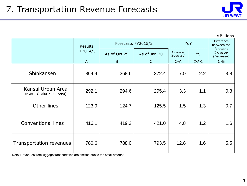

|                                              |                     |             |                              |       |                                          | ¥ Billions                                    |  |
|----------------------------------------------|---------------------|-------------|------------------------------|-------|------------------------------------------|-----------------------------------------------|--|
|                                              | Results<br>FY2014/3 |             | Forecasts FY2015/3           |       | YoY                                      | <b>Difference</b><br>between the<br>forecasts |  |
|                                              |                     |             | As of Oct 29<br>As of Jan 30 |       | Increase/<br>$\frac{0}{0}$<br>(Decrease) |                                               |  |
|                                              | A                   | $\mathsf B$ | $\subset$                    | $C-A$ | $C/A-1$                                  | $C-B$                                         |  |
| Shinkansen                                   | 364.4               | 368.6       | 372.4                        | 7.9   | 2.2                                      | 3.8                                           |  |
| Kansai Urban Area<br>(Kyoto-Osaka-Kobe Area) | 292.1               | 294.6       | 295.4                        | 3.3   | 1.1                                      | 0.8                                           |  |
| Other lines                                  | 123.9               | 124.7       | 125.5                        | 1.5   | 1.3                                      | 0.7                                           |  |
| <b>Conventional lines</b>                    | 416.1               | 419.3       | 421.0                        | 4.8   | 1.2                                      | 1.6                                           |  |
| <b>Transportation revenues</b>               | 780.6               | 788.0       | 793.5                        | 12.8  | 1.6                                      | 5.5                                           |  |

Note: Revenues from luggage transportation are omitted due to the small amount.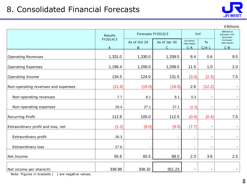

|                                     |                |                    |              |                         |               | ¥ Billions                             |
|-------------------------------------|----------------|--------------------|--------------|-------------------------|---------------|----------------------------------------|
|                                     | <b>Results</b> | Forecasts FY2015/3 |              | YoY                     |               | Difference<br>between the<br>forecasts |
|                                     | FY2014/3       | As of Oct 29       | As of Jan 30 | Increase/<br>(Decrease) | $\frac{0}{0}$ | Increase/<br>(Decrease)                |
|                                     | $\mathsf{A}$   | $\mathsf{B}$       | $\mathsf{C}$ | $C - A$                 | $C/A-1$       | $C - B$                                |
| <b>Operating Revenues</b>           | 1,331.0        | 1,330.0            | 1,339.5      | 8.4                     | 0.6           | 9.5                                    |
| <b>Operating Expenses</b>           | 1,196.4        | 1,206.0            | 1,208.0      | 11.5                    | 1.0           | 2.0                                    |
| Operating Income                    | 134.5          | 124.0              | 131.5        | (3.0)                   | (2.3)         | 7.5                                    |
| Non-operating revenues and expenses | (21.6)         | (19.0)             | (19.0)       | 2.6                     | (12.2)        | $\overline{\phantom{a}}$               |
| Non-operating revenues              | 7.7            | 8.1                | 8.1          | 0.3                     |               | $\overline{\phantom{a}}$               |
| Non-operating expenses              | 29.4           | 27.1               | 27.1         | (2.3)                   |               | $\overline{\phantom{0}}$               |
| <b>Recurring Profit</b>             | 112.9          | 105.0              | 112.5        | (0.4)                   | (0.4)         | 7.5                                    |
| Extraordinary profit and loss, net  | (1.2)          | (9.0)              | (9.0)        | (7.7)                   |               | $\overline{\phantom{a}}$               |
| Extraordinary profit                | 26.3           |                    |              | $\blacksquare$          |               |                                        |
| <b>Extraordinary loss</b>           | 27.6           |                    |              | $\blacksquare$          |               |                                        |
| Net Income                          | 65.6           | 65.5               | 68.0         | 2.3                     | 3.6           | 2.5                                    |
|                                     |                |                    |              |                         |               |                                        |
| Net income per share(¥)             | 338.98         | 338.32             | 351.23       | $\qquad \qquad$         |               | -                                      |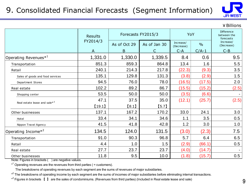#### 9. Consolidated Financial Forecasts (Segment Information)



¥Billions

|                                          | <b>Results</b> |              | Forecasts FY2015/3 |                         |               | <b>Difference</b><br>between the<br>forecasts |  |
|------------------------------------------|----------------|--------------|--------------------|-------------------------|---------------|-----------------------------------------------|--|
|                                          | FY2014/3       | As of Oct 29 | As of Jan 30       | Increase/<br>(Decrease) | $\frac{0}{0}$ | Increase/<br>(Decrease)                       |  |
|                                          | A              | B            |                    | $C-A$                   | $C/A-1$       | $C - B$                                       |  |
| Operating Revenues $*^1$                 | 1,331.0        | 1,330.0      | 1,339.5            | 8.4                     | 0.6           | 9.5                                           |  |
| Transportation                           | 851.3          | 859.3        | 864.8              | 13.4                    | 1.6           | 5.5                                           |  |
| Retail                                   | 240.1          | 214.3        | 217.8              | (22.3)                  | (9.3)         | 3.5                                           |  |
| Sales of goods and food services         | 135.1          | 129.8        | 131.3              | (3.8)                   | (2.9)         | 1.5                                           |  |
| Department Stores                        | 94.5           | 76.0         | 78.0               | (16.5)                  | (17.5)        | 2.0                                           |  |
| Real estate                              | 102.2          | 89.2         | 86.7               | (15.5)                  | (15.2)        | (2.5)                                         |  |
| Shopping center                          | 53.5           | 50.0         | 50.0               | (3.5)                   | (6.6)         |                                               |  |
| Real estate lease and sale* <sup>3</sup> | 47.1           | 37.5         | 35.0               | (12.1)                  | (25.7)        | (2.5)                                         |  |
|                                          | [19.1]         | [8.1]        | $[5.7]$            |                         |               |                                               |  |
| Other businesses                         | 137.1          | 167.2        | 170.2              | 33.0                    | 24.1          | 3.0                                           |  |
| Hotel                                    | 33.4           | 34.1         | 34.6               | 1.1                     | 3.5           | 0.5                                           |  |
| Nippon Travel Agency                     | 41.5           | 41.8         | 42.8               | 1.2                     | 3.0           | 1.0                                           |  |
| Operating Income $*^2$                   | 134.5          | 124.0        | 131.5              | (3.0)                   | (2.3)         | 7.5                                           |  |
| Transportation                           | 91.0           | 90.3         | 96.8               | 5.7                     | 6.4           | 6.5                                           |  |
| Retail                                   | 4.4            | 1.0          | 1.5                | (2.9)                   | (66.1)        | 0.5                                           |  |
| Real estate                              | 27.7           | 23.7         | 23.7               | (4.0)                   | (14.7)        |                                               |  |
| Other businesses                         | 11.8           | 9.5          | 10.0               | (1.8)                   | (15.7)        | 0.5                                           |  |

Note: Figures in brackets ( ) are negative values.

 $*$ <sup>1</sup> Operating revenues are the revenues from third parties ( = customers).

The breakdowns of operating revenues by each segment are the sums of revenues of major subsidiaries.

\*<sup>2</sup> The breakdowns of operating income by each segment are the sums of incomes of major subsidiaries before eliminating internal transactions.

\*<sup>3</sup> Figures in brackets 【 】 are the sales of condominiums. (Revenues from third parties) (Included in Real estate lease and sale)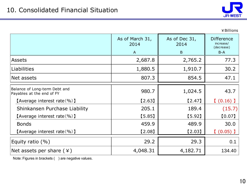

¥Billions

|                                                            | As of March 31,<br>2014 | As of Dec 31,<br>2014 | <b>Difference</b><br>increase/<br>(decrease) |
|------------------------------------------------------------|-------------------------|-----------------------|----------------------------------------------|
|                                                            | $\overline{A}$          | B                     | $B-A$                                        |
| <b>Assets</b>                                              | 2,687.8                 | 2,765.2               | 77.3                                         |
| <b>Liabilities</b>                                         | 1,880.5                 | 1,910.7               | 30.2                                         |
| Net assets                                                 | 807.3                   | 854.5                 | 47.1                                         |
| Balance of Long-term Debt and<br>Payables at the end of FY | 980.7                   | 1,024.5               | 43.7                                         |
| [Average interest rate $(\% )$ ]                           | $[2.63]$                | $[2.47]$              | $(0.16)$ ]                                   |
| Shinkansen Purchase Liability                              | 205.1                   | 189.4                 | (15.7)                                       |
| [Average interest rate $(\% )$ ]                           | $[5.85]$                | [5.92]                | [0.07]                                       |
| <b>Bonds</b>                                               | 459.9                   | 489.9                 | 30.0                                         |
| [Average interest rate $(\% )$ ]                           | [2.08]                  | $[2.03]$              | $(0.05)$ )                                   |
| Equity ratio $(\% )$                                       | 29.2                    | 29.3                  | 0.1                                          |
| Net assets per share $(*)$                                 | 4,048.31                | 4,182.71              | 134.40                                       |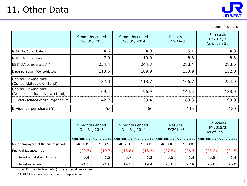

Persons, ¥Billions

|                                                     | 9 months ended<br>Dec 31, 2013 | 9 months ended<br>Dec 31, 2014 | <b>Results</b><br>FY2014/3 | <b>Forecasts</b><br>FY2015/3<br>As of Jan 30 |
|-----------------------------------------------------|--------------------------------|--------------------------------|----------------------------|----------------------------------------------|
| ROA (%, Consolidated)                               | 4.6                            | 4.9                            | 5.1                        | 4.8                                          |
| ROE (%, Consolidated)                               | 7.9                            | 10.0                           | 8.6                        | 8.6                                          |
| EBITDA (Consolidated) <sup>*</sup>                  | 234.4                          | 244.3                          | 288.4                      | 283.5                                        |
| Depreciation (Consolidated)                         | 113.5                          | 109.9                          | 153.9                      | 152.0                                        |
| Capital Expenditure<br>(Consolidated, own fund)     | 82.3                           | 118.7                          | 166.7                      | 224.0                                        |
| Capital Expenditure<br>(Non-consolidated, own fund) | 69.4                           | 96.9                           | 144.5                      | 188.0                                        |
| Safety related capital expenditure                  | 42.7                           | 39.4                           | 89.3                       | 90.0                                         |
| Dividends per share $(*)$                           | 55                             | 60                             | 115                        | 120                                          |

|                                       | 9 months ended<br>Dec 31, 2013 |                  | 9 months ended<br>Dec 31, 2014 |                  | <b>Results</b><br>FY2014/3 |                  | <b>Forecasts</b><br>FY2015/3<br>As of Jan 30 |                  |
|---------------------------------------|--------------------------------|------------------|--------------------------------|------------------|----------------------------|------------------|----------------------------------------------|------------------|
|                                       | Consolidated                   | Non-Consolidated | Consolidated                   | Non-Consolidated | Consolidated               | Non-Consolidated | Consolidated                                 | Non-Consolidated |
| No. of employees at the end of period | 46,105                         | 27,373           | 48,218                         | 27,395           | 46,006                     | 27,300           | $\overline{\phantom{0}}$                     |                  |
| Financial Expenses, net               | (20.7)                         | (19.7)           | (18.8)                         | (18.2)           | (27.5)                     | (26.3)           | (25.2)                                       | (24.5)           |
| Interest and dividend income          | 0.4                            | 1.2 <sub>1</sub> | 0.7                            | 1.2              | 0.5                        | 1.4              | 0.8                                          | 1.4              |
| Interest expenses                     | 21.1                           | 21.0             | 19.5                           | 19.4             | 28.0                       | 27.8             | 26.0                                         | 26.0             |

Note: Figures in brackets ( ) are negative values.

 $*$  EBITDA = Operating Income + Depreciation